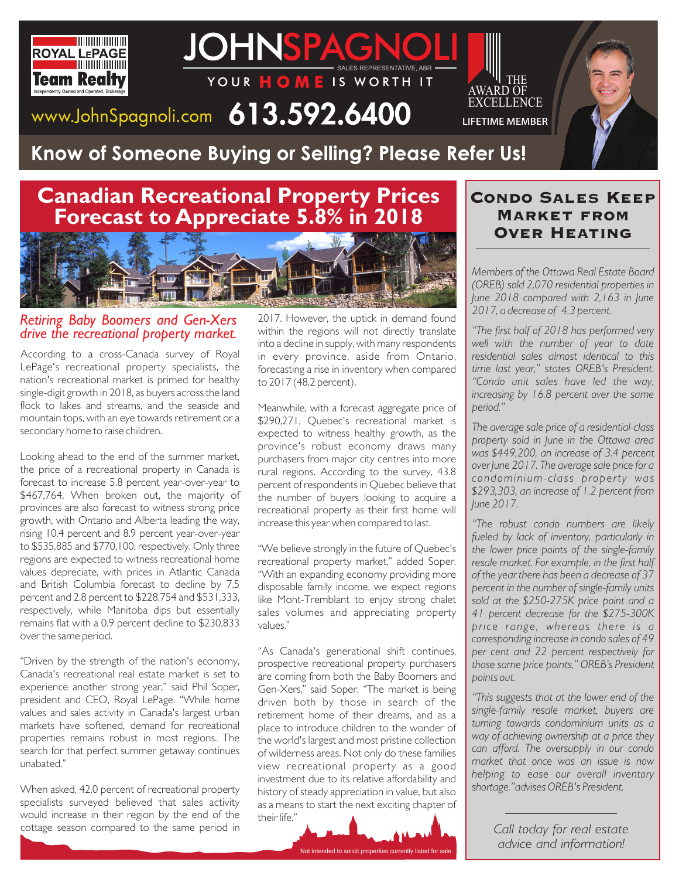



# www.JohnSpagnoli.com  $613.592.6400$

# Know of Someone Buying or Selling? Please Refer Us!

## **Canadian Recreational Property Prices Forecast to Appreciate 5.8% in 2018**



#### *Retiring Baby Boomers and Gen-Xers drive the recreational property market.*

According to a cross-Canada survey of Royal LePage's recreational property specialists, the nation's recreational market is primed for healthy single-digit growth in 2018, as buyers across the land flock to lakes and streams, and the seaside and mountain tops, with an eye towards retirement or a secondary home to raise children.

Looking ahead to the end of the summer market, the price of a recreational property in Canada is forecast to increase 5.8 percent year-over-year to \$467,764. When broken out, the majority of provinces are also forecast to witness strong price growth, with Ontario and Alberta leading the way, rising 10.4 percent and 8.9 percent year-over-year to \$535,885 and \$770,100, respectively. Only three regions are expected to witness recreational home values depreciate, with prices in Atlantic Canada and British Columbia forecast to decline by 7.5 percent and 2.8 percent to \$228,754 and \$531,333, respectively, while Manitoba dips but essentially remains flat with a 0.9 percent decline to \$230,833 over the same period.

"Driven by the strength of the nation's economy, Canada's recreational real estate market is set to experience another strong year," said Phil Soper, president and CEO, Royal LePage. "While home values and sales activity in Canada's largest urban markets have softened, demand for recreational properties remains robust in most regions. The search for that perfect summer getaway continues unabated."

When asked, 42.0 percent of recreational property specialists surveyed believed that sales activity would increase in their region by the end of the cottage season compared to the same period in

2017. However, the uptick in demand found within the regions will not directly translate into a decline in supply, with many respondents in every province, aside from Ontario, forecasting a rise in inventory when compared to 2017 (48.2 percent).

Meanwhile, with a forecast aggregate price of \$290,271, Quebec's recreational market is expected to witness healthy growth, as the province's robust economy draws many purchasers from major city centres into more rural regions. According to the survey, 43.8 percent of respondents in Quebec believe that the number of buyers looking to acquire a recreational property as their first home will increase this year when compared to last.

"We believe strongly in the future of Quebec's recreational property market," added Soper. "With an expanding economy providing more disposable family income, we expect regions like Mont-Tremblant to enjoy strong chalet sales volumes and appreciating property values."

"As Canada's generational shift continues, prospective recreational property purchasers are coming from both the Baby Boomers and Gen-Xers," said Soper. "The market is being driven both by those in search of the retirement home of their dreams, and as a place to introduce children to the wonder of the world's largest and most pristine collection of wilderness areas. Not only do these families view recreational property as a good investment due to its relative affordability and history of steady appreciation in value, but also as a means to start the next exciting chapter of their life."



### Condo Sales Keep Market from Over Heating

**THE** 

EXCELLENCE **LIFETIME MEMBER** 

*Members of the Ottawa Real Estate Board (OREB) sold 2,070 residential properties in June 2018 compared with 2,163 in June 2017, a decrease of 4.3 percent.* 

*"The first half of 2018 has performed very well with the number of year to date residential sales almost identical to this time last year," states OREB's President. "Condo unit sales have led the way, increasing by 16.8 percent over the same period."*

*The average sale price of a residential-class property sold in June in the Ottawa area was \$449,200, an increase of 3.4 percent over June 2017. The average sale price for a condominium-class property was \$293,303, an increase of 1.2 percent from June 2017.* 

*"The robust condo numbers are likely fueled by lack of inventory, particularly in the lower price points of the single-family resale market. For example, in the first half of the year there has been a decrease of 37 percent in the number of single-family units sold at the \$250-275K price point and a 41 percent decrease for the \$275-300K price range, whereas there is a corresponding increase in condo sales of 49 per cent and 22 percent respectively for those same price points," OREB's President points out.*

*"This suggests that at the lower end of the single-family resale market, buyers are turning towards condominium units as a way of achieving ownership at a price they can afford. The oversupply in our condo market that once was an issue is now helping to ease our overall inventory shortage."advises OREB's President.* 

> *Call today for real estate advice and information!*